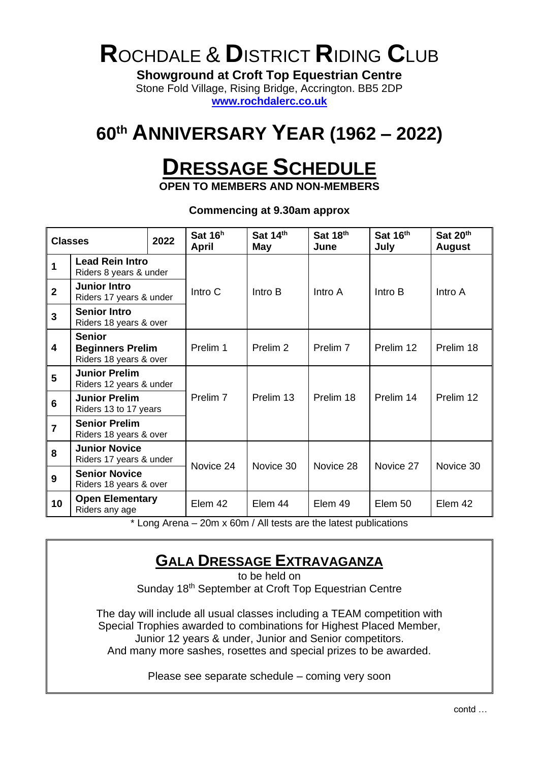# **R**OCHDALE & **D**ISTRICT **R**IDING **C**LUB

**Showground at Croft Top Equestrian Centre** Stone Fold Village, Rising Bridge, Accrington. BB5 2DP

**[www.rochdalerc.co.uk](http://www.rochdalerc.co.uk/)**

### **60th ANNIVERSARY YEAR (1962 – 2022)**

## **DRESSAGE SCHEDULE**

**OPEN TO MEMBERS AND NON-MEMBERS**

**Commencing at 9.30am approx**

| 2022<br><b>Classes</b> |                                                                                                   | Sat 16 <sup>h</sup><br>April | Sat 14th<br>May     | Sat 18th<br>June    | Sat 16th<br>July    | Sat 20th<br><b>August</b> |           |
|------------------------|---------------------------------------------------------------------------------------------------|------------------------------|---------------------|---------------------|---------------------|---------------------------|-----------|
| 1                      | <b>Lead Rein Intro</b><br>Riders 8 years & under                                                  |                              | Intro C             | Intro B             | Intro A             | Intro B                   | Intro A   |
| $\overline{2}$         | <b>Junior Intro</b><br>Riders 17 years & under                                                    |                              |                     |                     |                     |                           |           |
| 3                      | <b>Senior Intro</b><br>Riders 18 years & over                                                     |                              |                     |                     |                     |                           |           |
| 4                      | <b>Senior</b><br><b>Beginners Prelim</b><br>Riders 18 years & over                                |                              | Prelim 1            | Prelim <sub>2</sub> | Prelim <sub>7</sub> | Prelim 12                 | Prelim 18 |
| 5                      | <b>Junior Prelim</b><br>Riders 12 years & under                                                   |                              |                     |                     |                     |                           |           |
| 6                      | <b>Junior Prelim</b><br>Riders 13 to 17 years                                                     |                              | Prelim <sub>7</sub> | Prelim 13           | Prelim 18           | Prelim 14                 | Prelim 12 |
| $\overline{7}$         | <b>Senior Prelim</b><br>Riders 18 years & over                                                    |                              |                     |                     |                     |                           |           |
| 8                      | <b>Junior Novice</b><br>Riders 17 years & under<br><b>Senior Novice</b><br>Riders 18 years & over |                              | Novice 24           | Novice 30           | Novice 28           | Novice 27                 | Novice 30 |
| 9                      |                                                                                                   |                              |                     |                     |                     |                           |           |
| 10                     | <b>Open Elementary</b><br>Riders any age                                                          |                              | Elem 42             | Elem 44             | Elem 49             | Elem 50                   | Elem 42   |

\* Long Arena – 20m x 60m / All tests are the latest publications

### **GALA DRESSAGE EXTRAVAGANZA**

to be held on Sunday 18<sup>th</sup> September at Croft Top Equestrian Centre

The day will include all usual classes including a TEAM competition with Special Trophies awarded to combinations for Highest Placed Member, Junior 12 years & under, Junior and Senior competitors. And many more sashes, rosettes and special prizes to be awarded.

Please see separate schedule – coming very soon